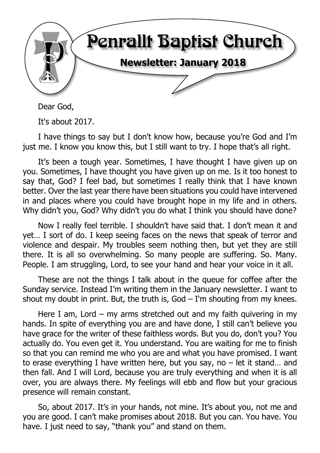

Dear God,

It's about 2017.

I have things to say but I don't know how, because you're God and I'm just me. I know you know this, but I still want to try. I hope that's all right.

It's been a tough year. Sometimes, I have thought I have given up on you. Sometimes, I have thought you have given up on me. Is it too honest to say that, God? I feel bad, but sometimes I really think that I have known better. Over the last year there have been situations you could have intervened in and places where you could have brought hope in my life and in others. Why didn't you, God? Why didn't you do what I think you should have done?

Now I really feel terrible. I shouldn't have said that. I don't mean it and yet… I sort of do. I keep seeing faces on the news that speak of terror and violence and despair. My troubles seem nothing then, but yet they are still there. It is all so overwhelming. So many people are suffering. So. Many. People. I am struggling, Lord, to see your hand and hear your voice in it all.

These are not the things I talk about in the queue for coffee after the Sunday service. Instead I'm writing them in the January newsletter. I want to shout my doubt in print. But, the truth is,  $God - I'm$  shouting from my knees.

Here I am, Lord – my arms stretched out and my faith quivering in my hands. In spite of everything you are and have done, I still can't believe you have grace for the writer of these faithless words. But you do, don't you? You actually do. You even get it. You understand. You are waiting for me to finish so that you can remind me who you are and what you have promised. I want to erase everything I have written here, but you say, no – let it stand… and then fall. And I will Lord, because you are truly everything and when it is all over, you are always there. My feelings will ebb and flow but your gracious presence will remain constant.

So, about 2017. It's in your hands, not mine. It's about you, not me and you are good. I can't make promises about 2018. But you can. You have. You have. I just need to say, "thank you" and stand on them.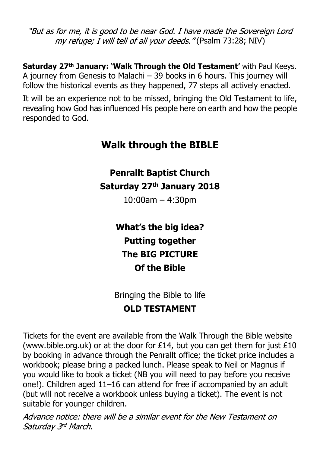"But as for me, it is good to be near God. I have made the Sovereign Lord my refuge; I will tell of all your deeds."(Psalm 73:28; NIV)

**Saturday 27th January: 'Walk Through the Old Testament'** with Paul Keeys. A journey from Genesis to Malachi – 39 books in 6 hours. This journey will follow the historical events as they happened, 77 steps all actively enacted.

It will be an experience not to be missed, bringing the Old Testament to life, revealing how God has influenced His people here on earth and how the people responded to God.

# **Walk through the BIBLE**

**Penrallt Baptist Church**

**Saturday 27th January 2018**

10:00am – 4:30pm

**What's the big idea? Putting together The BIG PICTURE Of the Bible**

Bringing the Bible to life **OLD TESTAMENT**

Tickets for the event are available from the Walk Through the Bible website (www.bible.org.uk) or at the door for  $£14$ , but you can get them for just  $£10$ by booking in advance through the Penrallt office; the ticket price includes a workbook; please bring a packed lunch. Please speak to Neil or Magnus if you would like to book a ticket (NB you will need to pay before you receive one!). Children aged 11–16 can attend for free if accompanied by an adult (but will not receive a workbook unless buying a ticket). The event is not suitable for younger children.

Advance notice: there will be a similar event for the New Testament on Saturday 3rd March.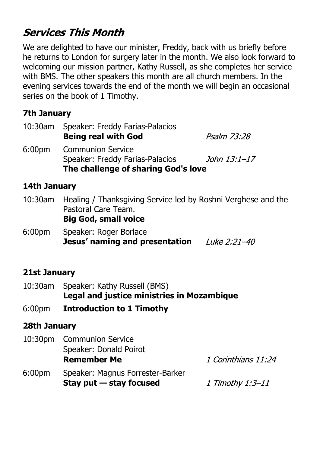# **Services This Month**

We are delighted to have our minister, Freddy, back with us briefly before he returns to London for surgery later in the month. We also look forward to welcoming our mission partner, Kathy Russell, as she completes her service with BMS. The other speakers this month are all church members. In the evening services towards the end of the month we will begin an occasional series on the book of 1 Timothy.

# **7th January**

| 10:30am | Speaker: Freddy Farias-Palacios     |              |  |  |
|---------|-------------------------------------|--------------|--|--|
|         | <b>Being real with God</b>          | Psalm 73:28  |  |  |
| 6:00pm  | <b>Communion Service</b>            |              |  |  |
|         | Speaker: Freddy Farias-Palacios     | John 13:1–17 |  |  |
|         | The challenge of sharing God's love |              |  |  |

# **14th January**

- 10:30am Healing / Thanksgiving Service led by Roshni Verghese and the Pastoral Care Team. **Big God, small voice**
- 6:00pm Speaker: Roger Borlace **Jesus' naming and presentation**

# **21st January**

- 10:30am Speaker: Kathy Russell (BMS) **Legal and justice ministries in Mozambique**
- 6:00pm **Introduction to 1 Timothy**

# **28th January**

|                    | 10:30pm Communion Service        |                     |
|--------------------|----------------------------------|---------------------|
|                    | Speaker: Donald Poirot           |                     |
|                    | <b>Remember Me</b>               | 1 Corinthians 11:24 |
| 6:00 <sub>pm</sub> | Speaker: Magnus Forrester-Barker |                     |
|                    | Stay put $-$ stay focused        | 1 Timothy 1:3–11    |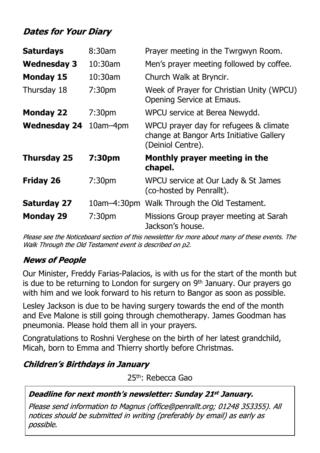# **Dates for Your Diary**

| <b>Saturdays</b>    | 8:30am             | Prayer meeting in the Twrgwyn Room.                                                                     |
|---------------------|--------------------|---------------------------------------------------------------------------------------------------------|
| <b>Wednesday 3</b>  | $10:30$ am         | Men's prayer meeting followed by coffee.                                                                |
| <b>Monday 15</b>    | 10:30am            | Church Walk at Bryncir.                                                                                 |
| Thursday 18         | 7:30 <sub>pm</sub> | Week of Prayer for Christian Unity (WPCU)<br>Opening Service at Emaus.                                  |
| <b>Monday 22</b>    | 7:30 <sub>pm</sub> | WPCU service at Berea Newydd.                                                                           |
| <b>Wednesday 24</b> | $10$ am $-4$ pm    | WPCU prayer day for refugees & climate<br>change at Bangor Arts Initiative Gallery<br>(Deiniol Centre). |
| <b>Thursday 25</b>  | 7:30pm             | Monthly prayer meeting in the<br>chapel.                                                                |
| <b>Friday 26</b>    | 7:30 <sub>pm</sub> | WPCU service at Our Lady & St James<br>(co-hosted by Penrallt).                                         |
| <b>Saturday 27</b>  |                    | 10am-4:30pm Walk Through the Old Testament.                                                             |
| <b>Monday 29</b>    | 7:30 <sub>pm</sub> | Missions Group prayer meeting at Sarah<br>Jackson's house.                                              |

Please see the Noticeboard section of this newsletter for more about many of these events. The Walk Through the Old Testament event is described on p2.

# **News of People**

Our Minister, Freddy Farias-Palacios, is with us for the start of the month but is due to be returning to London for surgery on  $9<sup>th</sup>$  January. Our prayers go with him and we look forward to his return to Bangor as soon as possible.

Lesley Jackson is due to be having surgery towards the end of the month and Eve Malone is still going through chemotherapy. James Goodman has pneumonia. Please hold them all in your prayers.

Congratulations to Roshni Verghese on the birth of her latest grandchild, Micah, born to Emma and Thierry shortly before Christmas.

# **Children's Birthdays in January**

25th: Rebecca Gao

### **Deadline for next month's newsletter: Sunday 21st January.**

Please send information to Magnus (office@penrallt.org; 01248 353355). All notices should be submitted in writing (preferably by email) as early as possible.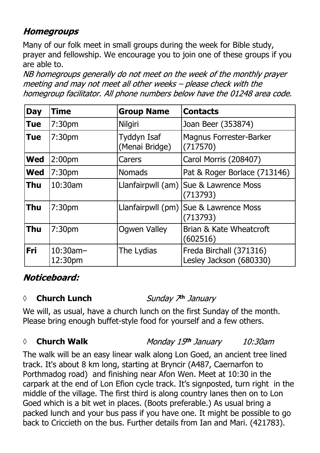# **Homegroups**

Many of our folk meet in small groups during the week for Bible study, prayer and fellowship. We encourage you to join one of these groups if you are able to.

NB homegroups generally do not meet on the week of the monthly prayer meeting and may not meet all other weeks - please check with the homegroup facilitator. All phone numbers below have the 01248 area code.

| <b>Day</b> | <b>Time</b>            | <b>Group Name</b>             | <b>Contacts</b>                                     |
|------------|------------------------|-------------------------------|-----------------------------------------------------|
| <b>Tue</b> | 7:30 <sub>pm</sub>     | <b>Nilgiri</b>                | Joan Beer (353874)                                  |
| <b>Tue</b> | 7:30 <sub>pm</sub>     | Tyddyn Isaf<br>(Menai Bridge) | <b>Magnus Forrester-Barker</b><br>(717570)          |
| <b>Wed</b> | 2:00 <sub>pm</sub>     | Carers                        | Carol Morris (208407)                               |
| <b>Wed</b> | 7:30 <sub>pm</sub>     | <b>Nomads</b>                 | Pat & Roger Borlace (713146)                        |
| <b>Thu</b> | 10:30am                |                               | Llanfairpwll (am)   Sue & Lawrence Moss<br>(713793) |
| <b>Thu</b> | 7:30 <sub>pm</sub>     |                               | Llanfairpwll (pm)   Sue & Lawrence Moss<br>(713793) |
| <b>Thu</b> | 7:30 <sub>pm</sub>     | <b>Ogwen Valley</b>           | Brian & Kate Wheatcroft<br>(602516)                 |
| <b>Fri</b> | $10:30$ am-<br>12:30pm | The Lydias                    | Freda Birchall (371316)<br>Lesley Jackson (680330)  |

# Noticeboard:

#### *◊* **Church Lunch th**

We will, as usual, have a church lunch on the first Sunday of the month. Please bring enough buffet-style food for yourself and a few others.

### *◊* **Church Walk**

Monday 15th January  $10:30$ am

The walk will be an easy linear walk along Lon Goed, an ancient tree lined track. It's about 8 km long, starting at Bryncir (A487, Caernarfon to Porthmadog road) and finishing near Afon Wen. Meet at 10:30 in the carpark at the end of Lon Efion cycle track. It's signposted, turn right in the middle of the village. The first third is along country lanes then on to Lon Goed which is a bit wet in places. (Boots preferable.) As usual bring a packed lunch and your bus pass if you have one. It might be possible to go back to Criccieth on the bus. Further details from Ian and Mari. (421783).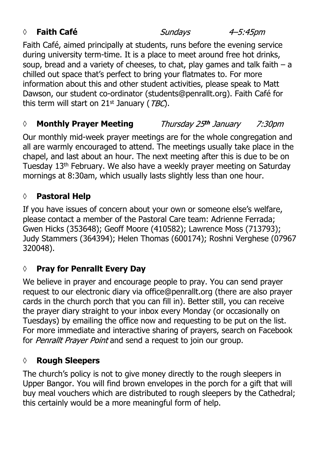# *◊* **Faith Café**

Sundays

4–5:45pm

Faith Café, aimed principally at students, runs before the evening service during university term-time. It is a place to meet around free hot drinks, soup, bread and a variety of cheeses, to chat, play games and talk faith  $-$  a chilled out space that's perfect to bring your flatmates to. For more information about this and other student activities, please speak to Matt Dawson, our student co-ordinator (students@penrallt.org). Faith Café for this term will start on  $21<sup>st</sup>$  January (*TBC*).

#### *◊* **Monthly Prayer Meeting** Thursday 25th January 7:30*pm*

Our monthly mid-week prayer meetings are for the whole congregation and all are warmly encouraged to attend. The meetings usually take place in the chapel, and last about an hour. The next meeting after this is due to be on Tuesday 13th February. We also have a weekly prayer meeting on Saturday mornings at 8:30am, which usually lasts slightly less than one hour.

# **◊ Pastoral Help**

If you have issues of concern about your own or someone else's welfare, please contact a member of the Pastoral Care team: Adrienne Ferrada; Gwen Hicks (353648); Geoff Moore (410582); Lawrence Moss (713793); Judy Stammers (364394); Helen Thomas (600174); Roshni Verghese (07967 320048).

# **◊ Pray for Penrallt Every Day**

We believe in prayer and encourage people to pray. You can send prayer request to our electronic diary via office@penrallt.org (there are also prayer cards in the church porch that you can fill in). Better still, you can receive the prayer diary straight to your inbox every Monday (or occasionally on Tuesdays) by emailing the office now and requesting to be put on the list. For more immediate and interactive sharing of prayers, search on Facebook for Penrallt Prayer Point and send a request to join our group.

# **◊ Rough Sleepers**

The church's policy is not to give money directly to the rough sleepers in Upper Bangor. You will find brown envelopes in the porch for a gift that will buy meal vouchers which are distributed to rough sleepers by the Cathedral; this certainly would be a more meaningful form of help.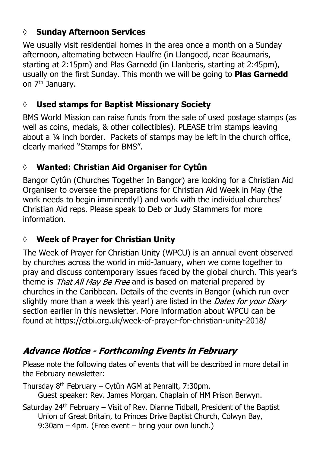# **◊ Sunday Afternoon Services**

We usually visit residential homes in the area once a month on a Sunday afternoon, alternating between Haulfre (in Llangoed, near Beaumaris, starting at 2:15pm) and Plas Garnedd (in Llanberis, starting at 2:45pm), usually on the first Sunday. This month we will be going to **Plas Garnedd** on 7th January.

# **◊ Used stamps for Baptist Missionary Society**

BMS World Mission can raise funds from the sale of used postage stamps (as well as coins, medals, & other collectibles). PLEASE trim stamps leaving about a ¼ inch border. Packets of stamps may be left in the church office, clearly marked "Stamps for BMS".

# **◊ Wanted: Christian Aid Organiser for Cytûn**

Bangor Cytûn (Churches Together In Bangor) are looking for a Christian Aid Organiser to oversee the preparations for Christian Aid Week in May (the work needs to begin imminently!) and work with the individual churches' Christian Aid reps. Please speak to Deb or Judy Stammers for more information.

# **◊ Week of Prayer for Christian Unity**

The Week of Prayer for Christian Unity (WPCU) is an annual event observed by churches across the world in mid-January, when we come together to pray and discuss contemporary issues faced by the global church. This year's theme is That All May Be Free and is based on material prepared by churches in the Caribbean. Details of the events in Bangor (which run over slightly more than a week this year!) are listed in the *Dates for your Diary* section earlier in this newsletter. More information about WPCU can be found at https://ctbi.org.uk/week-of-prayer-for-christian-unity-2018/

# **Advance Notice - Forthcoming Events in February**

Please note the following dates of events that will be described in more detail in the February newsletter:

Thursday 8th February – Cytûn AGM at Penrallt, 7:30pm. Guest speaker: Rev. James Morgan, Chaplain of HM Prison Berwyn.

Saturday  $24<sup>th</sup>$  February – Visit of Rev. Dianne Tidball, President of the Baptist Union of Great Britain, to Princes Drive Baptist Church, Colwyn Bay, 9:30am – 4pm. (Free event – bring your own lunch.)